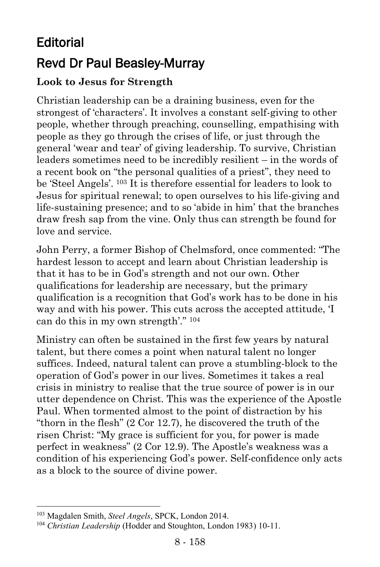# **Editorial** Revd Dr Paul Beasley-Murray

### **Look to Jesus for Strength**

Christian leadership can be a draining business, even for the strongest of 'characters'. It involves a constant self-giving to other people, whether through preaching, counselling, empathising with people as they go through the crises of life, or just through the general 'wear and tear' of giving leadership. To survive, Christian leaders sometimes need to be incredibly resilient – in the words of a recent book on "the personal qualities of a priest", they need to be 'Steel Angels'. <sup>103</sup> It is therefore essential for leaders to look to Jesus for spiritual renewal; to open ourselves to his life-giving and life-sustaining presence; and to so 'abide in him' that the branches draw fresh sap from the vine. Only thus can strength be found for love and service.

John Perry, a former Bishop of Chelmsford, once commented: "The hardest lesson to accept and learn about Christian leadership is that it has to be in God's strength and not our own. Other qualifications for leadership are necessary, but the primary qualification is a recognition that God's work has to be done in his way and with his power. This cuts across the accepted attitude, 'I can do this in my own strength'." <sup>104</sup>

Ministry can often be sustained in the first few years by natural talent, but there comes a point when natural talent no longer suffices. Indeed, natural talent can prove a stumbling-block to the operation of God's power in our lives. Sometimes it takes a real crisis in ministry to realise that the true source of power is in our utter dependence on Christ. This was the experience of the Apostle Paul. When tormented almost to the point of distraction by his "thorn in the flesh" (2 Cor 12.7), he discovered the truth of the risen Christ: "My grace is sufficient for you, for power is made perfect in weakness" (2 Cor 12.9). The Apostle's weakness was a condition of his experiencing God's power. Self-confidence only acts as a block to the source of divine power.

l

<sup>103</sup> Magdalen Smith, *Steel Angels*, SPCK, London 2014.

<sup>104</sup> *Christian Leadership* (Hodder and Stoughton, London 1983) 10-11.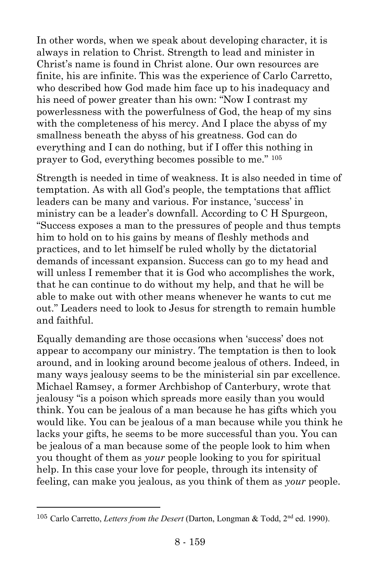In other words, when we speak about developing character, it is always in relation to Christ. Strength to lead and minister in Christ's name is found in Christ alone. Our own resources are finite, his are infinite. This was the experience of Carlo Carretto, who described how God made him face up to his inadequacy and his need of power greater than his own: "Now I contrast my powerlessness with the powerfulness of God, the heap of my sins with the completeness of his mercy. And I place the abyss of my smallness beneath the abyss of his greatness. God can do everything and I can do nothing, but if I offer this nothing in prayer to God, everything becomes possible to me." <sup>105</sup>

Strength is needed in time of weakness. It is also needed in time of temptation. As with all God's people, the temptations that afflict leaders can be many and various. For instance, 'success' in ministry can be a leader's downfall. According to C H Spurgeon, "Success exposes a man to the pressures of people and thus tempts him to hold on to his gains by means of fleshly methods and practices, and to let himself be ruled wholly by the dictatorial demands of incessant expansion. Success can go to my head and will unless I remember that it is God who accomplishes the work, that he can continue to do without my help, and that he will be able to make out with other means whenever he wants to cut me out." Leaders need to look to Jesus for strength to remain humble and faithful.

Equally demanding are those occasions when 'success' does not appear to accompany our ministry. The temptation is then to look around, and in looking around become jealous of others. Indeed, in many ways jealousy seems to be the ministerial sin par excellence. Michael Ramsey, a former Archbishop of Canterbury, wrote that jealousy "is a poison which spreads more easily than you would think. You can be jealous of a man because he has gifts which you would like. You can be jealous of a man because while you think he lacks your gifts, he seems to be more successful than you. You can be jealous of a man because some of the people look to him when you thought of them as *your* people looking to you for spiritual help. In this case your love for people, through its intensity of feeling, can make you jealous, as you think of them as *your* people.

 $\overline{a}$ 

<sup>105</sup> Carlo Carretto, *Letters from the Desert* (Darton, Longman & Todd, 2nd ed. 1990).